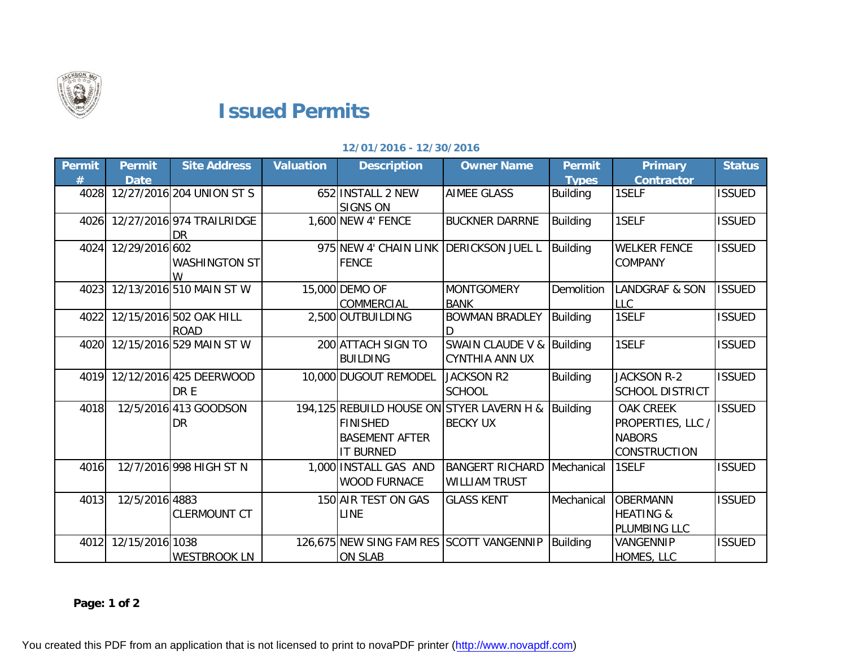

## **Issued Permits**

## **12/01/2016 - 12/30/2016**

| Permit | <b>Permit</b><br><b>Date</b> | <b>Site Address</b>                    | <b>Valuation</b> | <b>Description</b>                                                                                        | <b>Owner Name</b>                                  | <b>Permit</b><br><b>Types</b> | Primary<br><b>Contractor</b>                                                  | <b>Status</b> |
|--------|------------------------------|----------------------------------------|------------------|-----------------------------------------------------------------------------------------------------------|----------------------------------------------------|-------------------------------|-------------------------------------------------------------------------------|---------------|
| 4028   |                              | 12/27/2016 204 UNION ST S              |                  | 652 INSTALL 2 NEW<br><b>SIGNS ON</b>                                                                      | <b>AIMEE GLASS</b>                                 | <b>Building</b>               | 1SELF                                                                         | <b>ISSUED</b> |
| 4026   |                              | 12/27/2016 974 TRAILRIDGE<br>DR        |                  | 1,600 NEW 4' FENCE                                                                                        | <b>BUCKNER DARRNE</b>                              | Building                      | 1SELF                                                                         | <b>ISSUED</b> |
| 4024   | 12/29/2016 602               | <b>WASHINGTON ST</b>                   |                  | 975 NEW 4' CHAIN LINK<br><b>FENCE</b>                                                                     | <b>DERICKSON JUEL L</b>                            | Building                      | <b>WELKER FENCE</b><br><b>COMPANY</b>                                         | <b>ISSUED</b> |
| 4023   |                              | 12/13/2016 510 MAIN ST W               |                  | 15,000 DEMO OF<br><b>COMMERCIAL</b>                                                                       | <b>MONTGOMERY</b><br><b>BANK</b>                   | Demolition                    | <b>LANDGRAF &amp; SON</b><br><b>LLC</b>                                       | <b>ISSUED</b> |
| 4022   |                              | 12/15/2016 502 OAK HILL<br><b>ROAD</b> |                  | 2,500 OUTBUILDING                                                                                         | <b>BOWMAN BRADLEY</b>                              | Building                      | 1SELF                                                                         | <b>ISSUED</b> |
| 4020   |                              | 12/15/2016 529 MAIN ST W               |                  | 200 ATTACH SIGN TO<br><b>BUILDING</b>                                                                     | SWAIN CLAUDE V & Building<br><b>CYNTHIA ANN UX</b> |                               | 1SELF                                                                         | <b>ISSUED</b> |
| 4019   |                              | 12/12/2016 425 DEERWOOD<br>DR E        |                  | 10,000 DUGOUT REMODEL                                                                                     | <b>JACKSON R2</b><br><b>SCHOOL</b>                 | <b>Building</b>               | <b>JACKSON R-2</b><br><b>SCHOOL DISTRICT</b>                                  | <b>ISSUED</b> |
| 4018   |                              | 12/5/2016 413 GOODSON<br><b>DR</b>     |                  | 194,125 REBUILD HOUSE ON STYER LAVERN H &<br><b>FINISHED</b><br><b>BASEMENT AFTER</b><br><b>IT BURNED</b> | <b>BECKY UX</b>                                    | <b>Building</b>               | <b>OAK CREEK</b><br>PROPERTIES, LLC /<br><b>NABORS</b><br><b>CONSTRUCTION</b> | <b>ISSUED</b> |
| 4016   |                              | 12/7/2016 998 HIGH ST N                |                  | 1,000 INSTALL GAS AND<br><b>WOOD FURNACE</b>                                                              | <b>BANGERT RICHARD</b><br><b>WILLIAM TRUST</b>     | Mechanical                    | 1SELF                                                                         | <b>ISSUED</b> |
| 4013   | 12/5/2016 4883               | <b>CLERMOUNT CT</b>                    |                  | 150 AIR TEST ON GAS<br>LINE                                                                               | <b>GLASS KENT</b>                                  | Mechanical                    | <b>OBERMANN</b><br><b>HEATING &amp;</b><br>PLUMBING LLC                       | <b>ISSUED</b> |
| 4012   | 12/15/2016 1038              | <b>WESTBROOK LN</b>                    |                  | 126,675 NEW SING FAM RES SCOTT VANGENNIP<br><b>ON SLAB</b>                                                |                                                    | <b>Building</b>               | VANGENNIP<br>HOMES, LLC                                                       | <b>ISSUED</b> |

**Page: 1 of 2**

You created this PDF from an application that is not licensed to print to novaPDF printer ([http://www.novapdf.com\)](http://www.novapdf.com)